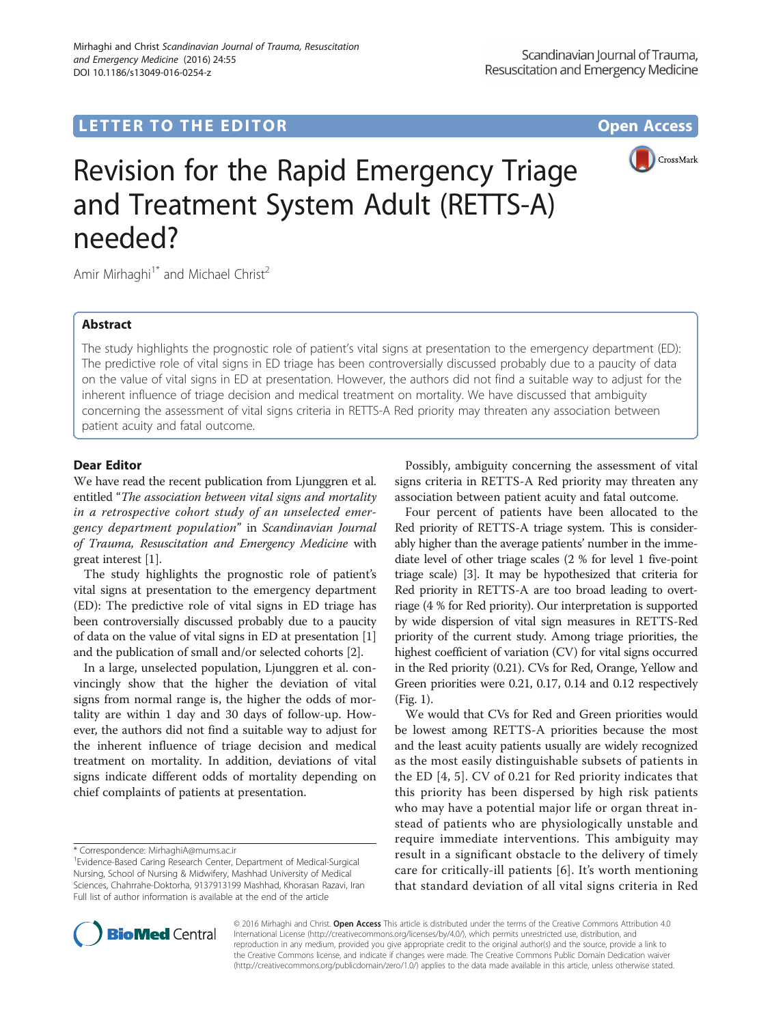## LETTER TO THE EDITOR **CONSIDERING A CONSIDERATION**



# Revision for the Rapid Emergency Triage and Treatment System Adult (RETTS-A) needed?

Amir Mirhaghi<sup>1\*</sup> and Michael Christ<sup>2</sup>

## Abstract

The study highlights the prognostic role of patient's vital signs at presentation to the emergency department (ED): The predictive role of vital signs in ED triage has been controversially discussed probably due to a paucity of data on the value of vital signs in ED at presentation. However, the authors did not find a suitable way to adjust for the inherent influence of triage decision and medical treatment on mortality. We have discussed that ambiguity concerning the assessment of vital signs criteria in RETTS-A Red priority may threaten any association between patient acuity and fatal outcome.

### Dear Editor

We have read the recent publication from Ljunggren et al. entitled "The association between vital signs and mortality in a retrospective cohort study of an unselected emergency department population" in Scandinavian Journal of Trauma, Resuscitation and Emergency Medicine with great interest [[1\]](#page-1-0).

The study highlights the prognostic role of patient's vital signs at presentation to the emergency department (ED): The predictive role of vital signs in ED triage has been controversially discussed probably due to a paucity of data on the value of vital signs in ED at presentation [[1](#page-1-0)] and the publication of small and/or selected cohorts [[2](#page-1-0)].

In a large, unselected population, Ljunggren et al. convincingly show that the higher the deviation of vital signs from normal range is, the higher the odds of mortality are within 1 day and 30 days of follow-up. However, the authors did not find a suitable way to adjust for the inherent influence of triage decision and medical treatment on mortality. In addition, deviations of vital signs indicate different odds of mortality depending on chief complaints of patients at presentation.

Possibly, ambiguity concerning the assessment of vital signs criteria in RETTS-A Red priority may threaten any association between patient acuity and fatal outcome.

Four percent of patients have been allocated to the Red priority of RETTS-A triage system. This is considerably higher than the average patients' number in the immediate level of other triage scales (2 % for level 1 five-point triage scale) [\[3](#page-1-0)]. It may be hypothesized that criteria for Red priority in RETTS-A are too broad leading to overtriage (4 % for Red priority). Our interpretation is supported by wide dispersion of vital sign measures in RETTS-Red priority of the current study. Among triage priorities, the highest coefficient of variation (CV) for vital signs occurred in the Red priority (0.21). CVs for Red, Orange, Yellow and Green priorities were 0.21, 0.17, 0.14 and 0.12 respectively (Fig. [1](#page-1-0)).

We would that CVs for Red and Green priorities would be lowest among RETTS-A priorities because the most and the least acuity patients usually are widely recognized as the most easily distinguishable subsets of patients in the ED [\[4](#page-1-0), [5\]](#page-1-0). CV of 0.21 for Red priority indicates that this priority has been dispersed by high risk patients who may have a potential major life or organ threat instead of patients who are physiologically unstable and require immediate interventions. This ambiguity may result in a significant obstacle to the delivery of timely care for critically-ill patients [[6\]](#page-1-0). It's worth mentioning that standard deviation of all vital signs criteria in Red



© 2016 Mirhaghi and Christ. Open Access This article is distributed under the terms of the Creative Commons Attribution 4.0 International License [\(http://creativecommons.org/licenses/by/4.0/](http://creativecommons.org/licenses/by/4.0/)), which permits unrestricted use, distribution, and reproduction in any medium, provided you give appropriate credit to the original author(s) and the source, provide a link to the Creative Commons license, and indicate if changes were made. The Creative Commons Public Domain Dedication waiver [\(http://creativecommons.org/publicdomain/zero/1.0/](http://creativecommons.org/publicdomain/zero/1.0/)) applies to the data made available in this article, unless otherwise stated.

<sup>\*</sup> Correspondence: [MirhaghiA@mums.ac.ir](mailto:MirhaghiA@mums.ac.ir) <sup>1</sup>

<sup>&</sup>lt;sup>1</sup> Evidence-Based Caring Research Center, Department of Medical-Surgical Nursing, School of Nursing & Midwifery, Mashhad University of Medical Sciences, Chahrrahe-Doktorha, 9137913199 Mashhad, Khorasan Razavi, Iran Full list of author information is available at the end of the article